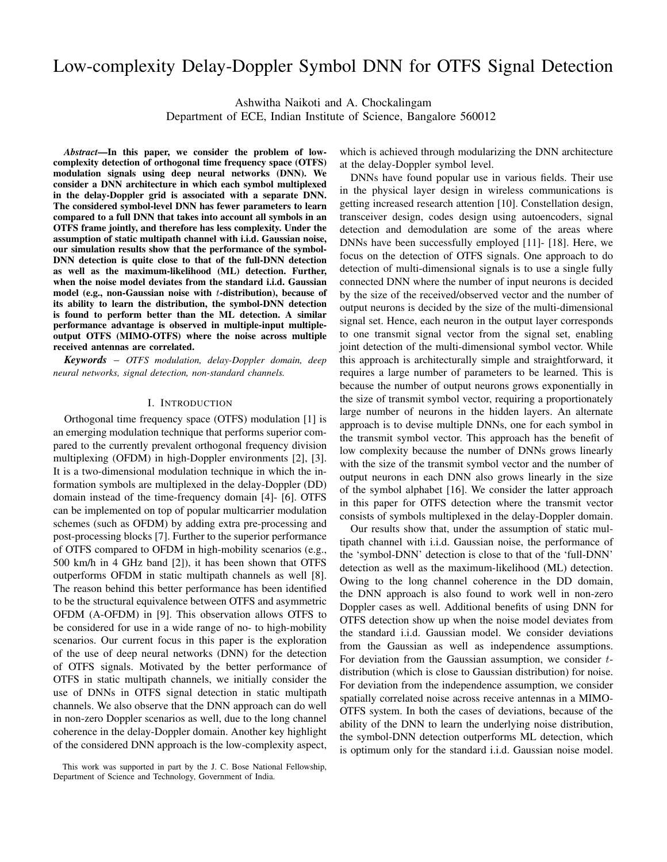# Low-complexity Delay-Doppler Symbol DNN for OTFS Signal Detection

Ashwitha Naikoti and A. Chockalingam

Department of ECE, Indian Institute of Science, Bangalore 560012

*Abstract*—In this paper, we consider the problem of lowcomplexity detection of orthogonal time frequency space (OTFS) modulation signals using deep neural networks (DNN). We consider a DNN architecture in which each symbol multiplexed in the delay-Doppler grid is associated with a separate DNN. The considered symbol-level DNN has fewer parameters to learn compared to a full DNN that takes into account all symbols in an OTFS frame jointly, and therefore has less complexity. Under the assumption of static multipath channel with i.i.d. Gaussian noise, our simulation results show that the performance of the symbol-DNN detection is quite close to that of the full-DNN detection as well as the maximum-likelihood (ML) detection. Further, when the noise model deviates from the standard i.i.d. Gaussian model (e.g., non-Gaussian noise with t-distribution), because of its ability to learn the distribution, the symbol-DNN detection is found to perform better than the ML detection. A similar performance advantage is observed in multiple-input multipleoutput OTFS (MIMO-OTFS) where the noise across multiple received antennas are correlated.

*Keywords* – *OTFS modulation, delay-Doppler domain, deep neural networks, signal detection, non-standard channels.*

# I. INTRODUCTION

Orthogonal time frequency space (OTFS) modulation [1] is an emerging modulation technique that performs superior compared to the currently prevalent orthogonal frequency division multiplexing (OFDM) in high-Doppler environments [2], [3]. It is a two-dimensional modulation technique in which the information symbols are multiplexed in the delay-Doppler (DD) domain instead of the time-frequency domain [4]- [6]. OTFS can be implemented on top of popular multicarrier modulation schemes (such as OFDM) by adding extra pre-processing and post-processing blocks [7]. Further to the superior performance of OTFS compared to OFDM in high-mobility scenarios (e.g., 500 km/h in 4 GHz band [2]), it has been shown that OTFS outperforms OFDM in static multipath channels as well [8]. The reason behind this better performance has been identified to be the structural equivalence between OTFS and asymmetric OFDM (A-OFDM) in [9]. This observation allows OTFS to be considered for use in a wide range of no- to high-mobility scenarios. Our current focus in this paper is the exploration of the use of deep neural networks (DNN) for the detection of OTFS signals. Motivated by the better performance of OTFS in static multipath channels, we initially consider the use of DNNs in OTFS signal detection in static multipath channels. We also observe that the DNN approach can do well in non-zero Doppler scenarios as well, due to the long channel coherence in the delay-Doppler domain. Another key highlight of the considered DNN approach is the low-complexity aspect,

which is achieved through modularizing the DNN architecture at the delay-Doppler symbol level.

DNNs have found popular use in various fields. Their use in the physical layer design in wireless communications is getting increased research attention [10]. Constellation design, transceiver design, codes design using autoencoders, signal detection and demodulation are some of the areas where DNNs have been successfully employed [11]- [18]. Here, we focus on the detection of OTFS signals. One approach to do detection of multi-dimensional signals is to use a single fully connected DNN where the number of input neurons is decided by the size of the received/observed vector and the number of output neurons is decided by the size of the multi-dimensional signal set. Hence, each neuron in the output layer corresponds to one transmit signal vector from the signal set, enabling joint detection of the multi-dimensional symbol vector. While this approach is architecturally simple and straightforward, it requires a large number of parameters to be learned. This is because the number of output neurons grows exponentially in the size of transmit symbol vector, requiring a proportionately large number of neurons in the hidden layers. An alternate approach is to devise multiple DNNs, one for each symbol in the transmit symbol vector. This approach has the benefit of low complexity because the number of DNNs grows linearly with the size of the transmit symbol vector and the number of output neurons in each DNN also grows linearly in the size of the symbol alphabet [16]. We consider the latter approach in this paper for OTFS detection where the transmit vector consists of symbols multiplexed in the delay-Doppler domain.

Our results show that, under the assumption of static multipath channel with i.i.d. Gaussian noise, the performance of the 'symbol-DNN' detection is close to that of the 'full-DNN' detection as well as the maximum-likelihood (ML) detection. Owing to the long channel coherence in the DD domain, the DNN approach is also found to work well in non-zero Doppler cases as well. Additional benefits of using DNN for OTFS detection show up when the noise model deviates from the standard i.i.d. Gaussian model. We consider deviations from the Gaussian as well as independence assumptions. For deviation from the Gaussian assumption, we consider tdistribution (which is close to Gaussian distribution) for noise. For deviation from the independence assumption, we consider spatially correlated noise across receive antennas in a MIMO-OTFS system. In both the cases of deviations, because of the ability of the DNN to learn the underlying noise distribution, the symbol-DNN detection outperforms ML detection, which is optimum only for the standard i.i.d. Gaussian noise model.

This work was supported in part by the J. C. Bose National Fellowship, Department of Science and Technology, Government of India.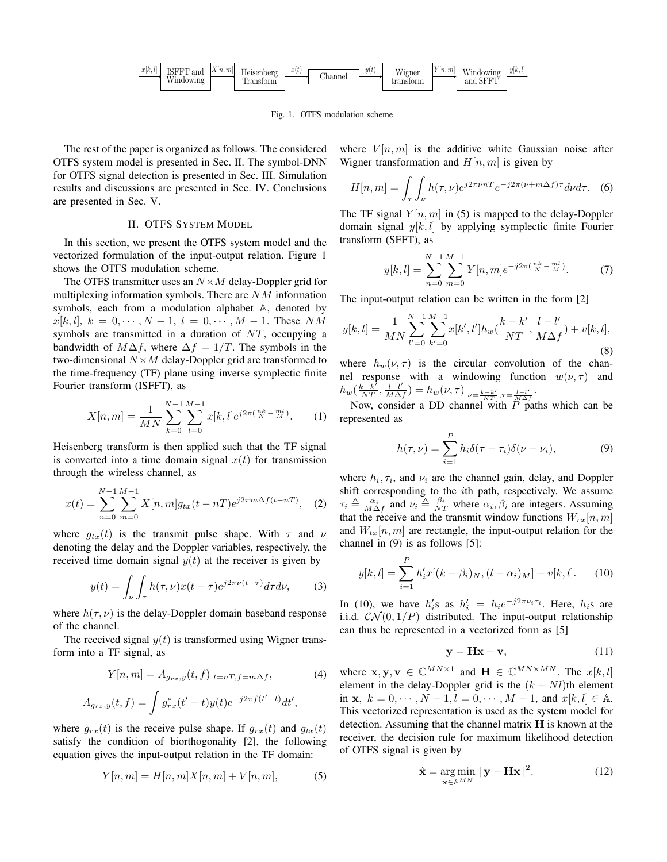

Fig. 1. OTFS modulation scheme.

The rest of the paper is organized as follows. The considered OTFS system model is presented in Sec. II. The symbol-DNN for OTFS signal detection is presented in Sec. III. Simulation results and discussions are presented in Sec. IV. Conclusions are presented in Sec. V.

# II. OTFS SYSTEM MODEL

In this section, we present the OTFS system model and the vectorized formulation of the input-output relation. Figure 1 shows the OTFS modulation scheme.

The OTFS transmitter uses an  $N \times M$  delay-Doppler grid for multiplexing information symbols. There are  $NM$  information symbols, each from a modulation alphabet A, denoted by  $x[k, l], k = 0, \cdots, N - 1, l = 0, \cdots, M - 1$ . These NM symbols are transmitted in a duration of NT, occupying a bandwidth of  $M\Delta f$ , where  $\Delta f = 1/T$ . The symbols in the two-dimensional  $N \times M$  delay-Doppler grid are transformed to the time-frequency (TF) plane using inverse symplectic finite Fourier transform (ISFFT), as

$$
X[n,m] = \frac{1}{MN} \sum_{k=0}^{N-1} \sum_{l=0}^{M-1} x[k,l] e^{j2\pi (\frac{nk}{N} - \frac{ml}{M})}.
$$
 (1)

Heisenberg transform is then applied such that the TF signal is converted into a time domain signal  $x(t)$  for transmission through the wireless channel, as

$$
x(t) = \sum_{n=0}^{N-1} \sum_{m=0}^{M-1} X[n, m] g_{tx}(t - nT) e^{j2\pi m \Delta f (t - nT)}, \quad (2)
$$

where  $g_{tx}(t)$  is the transmit pulse shape. With  $\tau$  and  $\nu$ denoting the delay and the Doppler variables, respectively, the received time domain signal  $y(t)$  at the receiver is given by

$$
y(t) = \int_{\nu} \int_{\tau} h(\tau, \nu) x(t - \tau) e^{j2\pi \nu (t - \tau)} d\tau d\nu,
$$
 (3)

where  $h(\tau, \nu)$  is the delay-Doppler domain baseband response of the channel.

The received signal  $y(t)$  is transformed using Wigner transform into a TF signal, as

$$
Y[n,m] = A_{g_{rx},y}(t,f)|_{t=nT,f=m\Delta f},
$$
\n(4)

$$
A_{g_{rx},y}(t,f) = \int g_{rx}^*(t'-t)y(t)e^{-j2\pi f(t'-t)}dt',
$$

where  $g_{rx}(t)$  is the receive pulse shape. If  $g_{rx}(t)$  and  $g_{tx}(t)$ satisfy the condition of biorthogonality [2], the following equation gives the input-output relation in the TF domain:

$$
Y[n,m] = H[n,m]X[n,m] + V[n,m],
$$
 (5)

where  $V[n, m]$  is the additive white Gaussian noise after Wigner transformation and  $H[n, m]$  is given by

$$
H[n,m] = \int_{\tau} \int_{\nu} h(\tau,\nu) e^{j2\pi\nu nT} e^{-j2\pi(\nu+m\Delta f)\tau} d\nu d\tau.
$$
 (6)

The TF signal  $Y[n, m]$  in (5) is mapped to the delay-Doppler domain signal  $y[k, l]$  by applying symplectic finite Fourier transform (SFFT), as

$$
y[k,l] = \sum_{n=0}^{N-1} \sum_{m=0}^{M-1} Y[n,m] e^{-j2\pi(\frac{nk}{N} - \frac{ml}{M})}.
$$
 (7)

The input-output relation can be written in the form [2]

$$
y[k,l] = \frac{1}{MN} \sum_{l'=0}^{N-1} \sum_{k'=0}^{M-1} x[k',l'] h_w(\frac{k-k'}{NT}, \frac{l-l'}{M\Delta f}) + v[k,l],
$$
\n(8)

where  $h_w(\nu, \tau)$  is the circular convolution of the channel response with a windowing function  $w(\nu, \tau)$  and  $h_w(\frac{k-k'}{NT}, \frac{l-l'}{M\Delta)}$  $\frac{l-l'}{M\Delta f})=h_w(\nu,\tau)\big|_{\nu=\frac{k-k'}{NT},\tau=\frac{l-l'}{M\Delta f}}.$ 

Now, consider a DD channel with  $\overrightarrow{P}$  paths which can be represented as

$$
h(\tau,\nu) = \sum_{i=1}^{P} h_i \delta(\tau - \tau_i) \delta(\nu - \nu_i), \tag{9}
$$

where  $h_i, \tau_i$ , and  $\nu_i$  are the channel gain, delay, and Doppler shift corresponding to the ith path, respectively. We assume  $\tau_i \triangleq \frac{\alpha_i}{M\Delta f}$  and  $\nu_i \triangleq \frac{\beta_i}{NT}$  where  $\alpha_i, \beta_i$  are integers. Assuming that the receive and the transmit window functions  $W_{rx}[n, m]$ and  $W_{tx}[n, m]$  are rectangle, the input-output relation for the channel in (9) is as follows [5]:

$$
y[k, l] = \sum_{i=1}^{P} h'_i x[(k - \beta_i)_N, (l - \alpha_i)_M] + v[k, l].
$$
 (10)

In (10), we have  $h_i$ 's as  $h_i' = h_i e^{-j2\pi \nu_i \tau_i}$ . Here,  $h_i$ s are i.i.d.  $\mathcal{CN}(0,1/P)$  distributed. The input-output relationship can thus be represented in a vectorized form as [5]

$$
y = Hx + v,\t(11)
$$

where  $\mathbf{x}, \mathbf{y}, \mathbf{v} \in \mathbb{C}^{MN \times 1}$  and  $\mathbf{H} \in \mathbb{C}^{MN \times MN}$ . The  $x[k, l]$ element in the delay-Doppler grid is the  $(k + Nl)$ th element in **x**,  $k = 0, \dots, N - 1, l = 0, \dots, M - 1$ , and  $x[k, l] \in \mathbb{A}$ . This vectorized representation is used as the system model for detection. Assuming that the channel matrix H is known at the receiver, the decision rule for maximum likelihood detection of OTFS signal is given by

$$
\hat{\mathbf{x}} = \underset{\mathbf{x} \in \mathbb{A}^{MN}}{\arg \min} \|\mathbf{y} - \mathbf{H}\mathbf{x}\|^2. \tag{12}
$$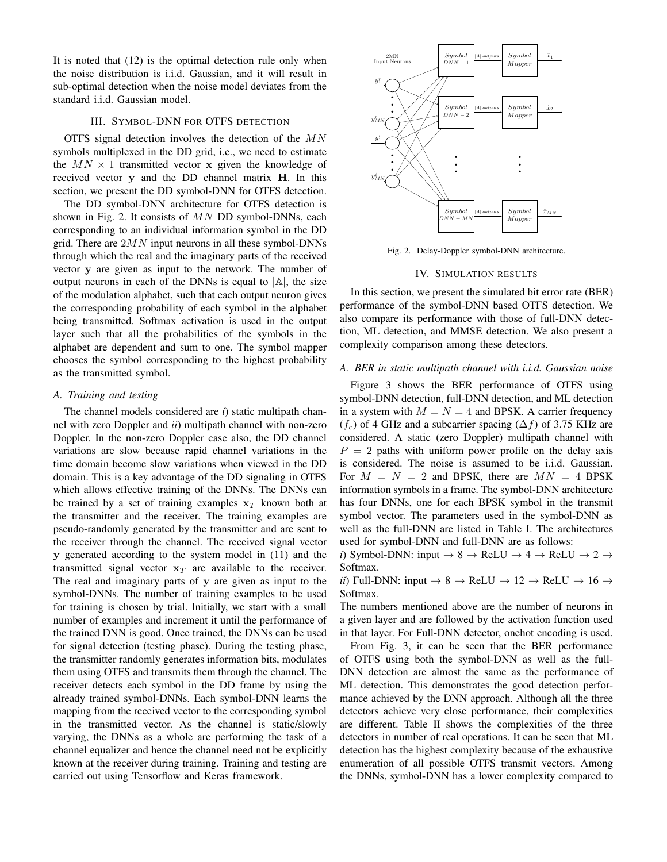It is noted that (12) is the optimal detection rule only when the noise distribution is i.i.d. Gaussian, and it will result in sub-optimal detection when the noise model deviates from the standard i.i.d. Gaussian model.

# III. SYMBOL-DNN FOR OTFS DETECTION

OTFS signal detection involves the detection of the MN symbols multiplexed in the DD grid, i.e., we need to estimate the  $MN \times 1$  transmitted vector x given the knowledge of received vector y and the DD channel matrix H. In this section, we present the DD symbol-DNN for OTFS detection.

The DD symbol-DNN architecture for OTFS detection is shown in Fig. 2. It consists of  $MN$  DD symbol-DNNs, each corresponding to an individual information symbol in the DD grid. There are  $2MN$  input neurons in all these symbol-DNNs through which the real and the imaginary parts of the received vector y are given as input to the network. The number of output neurons in each of the DNNs is equal to  $|A|$ , the size of the modulation alphabet, such that each output neuron gives the corresponding probability of each symbol in the alphabet being transmitted. Softmax activation is used in the output layer such that all the probabilities of the symbols in the alphabet are dependent and sum to one. The symbol mapper chooses the symbol corresponding to the highest probability as the transmitted symbol.

### *A. Training and testing*

The channel models considered are *i*) static multipath channel with zero Doppler and *ii*) multipath channel with non-zero Doppler. In the non-zero Doppler case also, the DD channel variations are slow because rapid channel variations in the time domain become slow variations when viewed in the DD domain. This is a key advantage of the DD signaling in OTFS which allows effective training of the DNNs. The DNNs can be trained by a set of training examples  $x_T$  known both at the transmitter and the receiver. The training examples are pseudo-randomly generated by the transmitter and are sent to the receiver through the channel. The received signal vector y generated according to the system model in (11) and the transmitted signal vector  $x_T$  are available to the receiver. The real and imaginary parts of y are given as input to the symbol-DNNs. The number of training examples to be used for training is chosen by trial. Initially, we start with a small number of examples and increment it until the performance of the trained DNN is good. Once trained, the DNNs can be used for signal detection (testing phase). During the testing phase, the transmitter randomly generates information bits, modulates them using OTFS and transmits them through the channel. The receiver detects each symbol in the DD frame by using the already trained symbol-DNNs. Each symbol-DNN learns the mapping from the received vector to the corresponding symbol in the transmitted vector. As the channel is static/slowly varying, the DNNs as a whole are performing the task of a channel equalizer and hence the channel need not be explicitly known at the receiver during training. Training and testing are carried out using Tensorflow and Keras framework.



Fig. 2. Delay-Doppler symbol-DNN architecture.

# IV. SIMULATION RESULTS

In this section, we present the simulated bit error rate (BER) performance of the symbol-DNN based OTFS detection. We also compare its performance with those of full-DNN detection, ML detection, and MMSE detection. We also present a complexity comparison among these detectors.

# *A. BER in static multipath channel with i.i.d. Gaussian noise*

Figure 3 shows the BER performance of OTFS using symbol-DNN detection, full-DNN detection, and ML detection in a system with  $M = N = 4$  and BPSK. A carrier frequency  $(f_c)$  of 4 GHz and a subcarrier spacing  $(\Delta f)$  of 3.75 KHz are considered. A static (zero Doppler) multipath channel with  $P = 2$  paths with uniform power profile on the delay axis is considered. The noise is assumed to be i.i.d. Gaussian. For  $M = N = 2$  and BPSK, there are  $MN = 4$  BPSK information symbols in a frame. The symbol-DNN architecture has four DNNs, one for each BPSK symbol in the transmit symbol vector. The parameters used in the symbol-DNN as well as the full-DNN are listed in Table I. The architectures used for symbol-DNN and full-DNN are as follows:

*i*) Symbol-DNN: input  $\rightarrow$  8  $\rightarrow$  ReLU  $\rightarrow$  4  $\rightarrow$  ReLU  $\rightarrow$  2  $\rightarrow$ Softmax.

*ii*) Full-DNN: input  $\rightarrow$  8  $\rightarrow$  ReLU  $\rightarrow$  12  $\rightarrow$  ReLU  $\rightarrow$  16  $\rightarrow$ Softmax.

The numbers mentioned above are the number of neurons in a given layer and are followed by the activation function used in that layer. For Full-DNN detector, onehot encoding is used.

From Fig. 3, it can be seen that the BER performance of OTFS using both the symbol-DNN as well as the full-DNN detection are almost the same as the performance of ML detection. This demonstrates the good detection performance achieved by the DNN approach. Although all the three detectors achieve very close performance, their complexities are different. Table II shows the complexities of the three detectors in number of real operations. It can be seen that ML detection has the highest complexity because of the exhaustive enumeration of all possible OTFS transmit vectors. Among the DNNs, symbol-DNN has a lower complexity compared to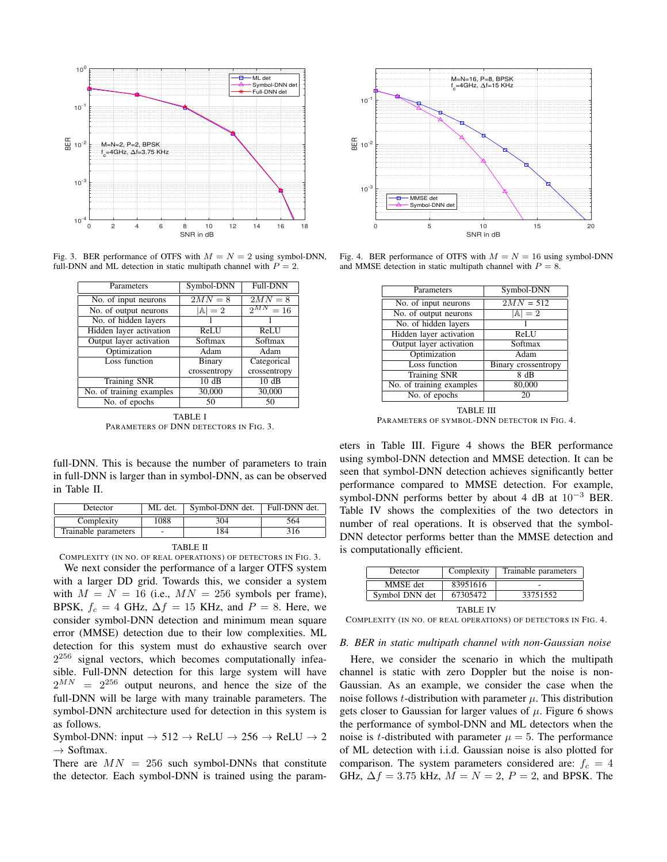

Fig. 3. BER performance of OTFS with  $M = N = 2$  using symbol-DNN, full-DNN and ML detection in static multipath channel with  $P = 2$ .

| Parameters               | Symbol-DNN       | <b>Full-DNN</b>   |  |  |
|--------------------------|------------------|-------------------|--|--|
| No. of input neurons     | $2MN=8$          | $2MN=8$           |  |  |
| No. of output neurons    | $\mathbb{A} = 2$ | $2^{MN}$<br>$=16$ |  |  |
| No. of hidden layers     |                  |                   |  |  |
| Hidden layer activation  | ReLU             | ReLU              |  |  |
| Output layer activation  | Softmax          | Softmax           |  |  |
| Optimization             | Adam             | Adam              |  |  |
| Loss function            | Binary           | Categorical       |  |  |
|                          | crossentropy     | crossentropy      |  |  |
| <b>Training SNR</b>      | 10dB             | 10dB              |  |  |
| No. of training examples | 30,000           | 30,000            |  |  |
| No. of epochs            | 50               | 50                |  |  |
| .                        |                  |                   |  |  |

TABLE I PARAMETERS OF DNN DETECTORS IN FIG. 3.

full-DNN. This is because the number of parameters to train in full-DNN is larger than in symbol-DNN, as can be observed in Table II.

| Detector             | ML det. | Symbol-DNN det. | Full-DNN det. |
|----------------------|---------|-----------------|---------------|
| Complexity           | 1088    | 304             | 564           |
| Trainable parameters | -       | 84              | 316           |

#### TABLE II

COMPLEXITY (IN NO. OF REAL OPERATIONS) OF DETECTORS IN FIG. 3.

We next consider the performance of a larger OTFS system with a larger DD grid. Towards this, we consider a system with  $M = N = 16$  (i.e.,  $MN = 256$  symbols per frame), BPSK,  $f_c = 4$  GHz,  $\Delta f = 15$  KHz, and  $P = 8$ . Here, we consider symbol-DNN detection and minimum mean square error (MMSE) detection due to their low complexities. ML detection for this system must do exhaustive search over  $2^{256}$  signal vectors, which becomes computationally infeasible. Full-DNN detection for this large system will have  $2^{MN}$  =  $2^{256}$  output neurons, and hence the size of the full-DNN will be large with many trainable parameters. The symbol-DNN architecture used for detection in this system is as follows.

Symbol-DNN: input  $\rightarrow$  512  $\rightarrow$  ReLU  $\rightarrow$  256  $\rightarrow$  ReLU  $\rightarrow$  2  $\rightarrow$  Softmax.

There are  $MN = 256$  such symbol-DNNs that constitute the detector. Each symbol-DNN is trained using the param-



Fig. 4. BER performance of OTFS with  $M = N = 16$  using symbol-DNN and MMSE detection in static multipath channel with  $P = 8$ .

| Parameters               | Symbol-DNN          |  |  |
|--------------------------|---------------------|--|--|
| No. of input neurons     | $2MN = 512$         |  |  |
| No. of output neurons    | $ A =2$             |  |  |
| No. of hidden layers     |                     |  |  |
| Hidden layer activation  | ReLU                |  |  |
| Output layer activation  | Softmax             |  |  |
| Optimization             | Adam                |  |  |
| <b>Loss function</b>     | Binary crossentropy |  |  |
| <b>Training SNR</b>      | 8 dB                |  |  |
| No. of training examples | 80,000              |  |  |
| No. of epochs            | 20                  |  |  |

TABLE III PARAMETERS OF SYMBOL-DNN DETECTOR IN FIG. 4.

eters in Table III. Figure 4 shows the BER performance using symbol-DNN detection and MMSE detection. It can be seen that symbol-DNN detection achieves significantly better performance compared to MMSE detection. For example, symbol-DNN performs better by about 4 dB at  $10^{-3}$  BER. Table IV shows the complexities of the two detectors in number of real operations. It is observed that the symbol-DNN detector performs better than the MMSE detection and is computationally efficient.

| Detector       | Complexity | Trainable parameters |  |
|----------------|------------|----------------------|--|
| MMSE det       | 83951616   |                      |  |
| Symbol DNN det | 67305472   | 33751552             |  |
| TABLE IV       |            |                      |  |

COMPLEXITY (IN NO. OF REAL OPERATIONS) OF DETECTORS IN FIG. 4.

#### *B. BER in static multipath channel with non-Gaussian noise*

Here, we consider the scenario in which the multipath channel is static with zero Doppler but the noise is non-Gaussian. As an example, we consider the case when the noise follows *t*-distribution with parameter  $\mu$ . This distribution gets closer to Gaussian for larger values of  $\mu$ . Figure 6 shows the performance of symbol-DNN and ML detectors when the noise is *t*-distributed with parameter  $\mu = 5$ . The performance of ML detection with i.i.d. Gaussian noise is also plotted for comparison. The system parameters considered are:  $f_c = 4$ GHz,  $\Delta f = 3.75$  kHz,  $M = N = 2$ ,  $P = 2$ , and BPSK. The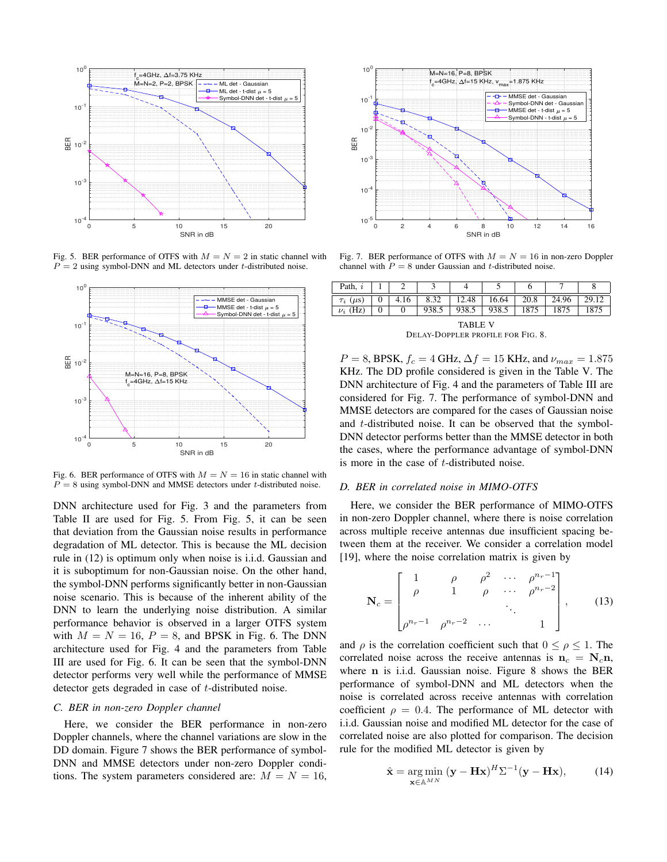

Fig. 5. BER performance of OTFS with  $M = N = 2$  in static channel with  $P = 2$  using symbol-DNN and ML detectors under t-distributed noise.



Fig. 6. BER performance of OTFS with  $M = N = 16$  in static channel with  $P = 8$  using symbol-DNN and MMSE detectors under t-distributed noise.

DNN architecture used for Fig. 3 and the parameters from Table II are used for Fig. 5. From Fig. 5, it can be seen that deviation from the Gaussian noise results in performance degradation of ML detector. This is because the ML decision rule in (12) is optimum only when noise is i.i.d. Gaussian and it is suboptimum for non-Gaussian noise. On the other hand, the symbol-DNN performs significantly better in non-Gaussian noise scenario. This is because of the inherent ability of the DNN to learn the underlying noise distribution. A similar performance behavior is observed in a larger OTFS system with  $M = N = 16$ ,  $P = 8$ , and BPSK in Fig. 6. The DNN architecture used for Fig. 4 and the parameters from Table III are used for Fig. 6. It can be seen that the symbol-DNN detector performs very well while the performance of MMSE detector gets degraded in case of t-distributed noise.

# *C. BER in non-zero Doppler channel*

Here, we consider the BER performance in non-zero Doppler channels, where the channel variations are slow in the DD domain. Figure 7 shows the BER performance of symbol-DNN and MMSE detectors under non-zero Doppler conditions. The system parameters considered are:  $M = N = 16$ ,



Fig. 7. BER performance of OTFS with  $M = N = 16$  in non-zero Doppler channel with  $P = 8$  under Gaussian and t-distributed noise.

| Path, $i$           |   |      |       |       |       |      |       |       |
|---------------------|---|------|-------|-------|-------|------|-------|-------|
| $\tau_i$ ( $\mu$ s) | υ | 4.16 | 8.32  | 12.48 | 16.64 | 20.8 | 24.96 | 29.12 |
| $\nu_i$ (Hz)        |   |      | 938.5 | 938.5 | 938.5 | .875 |       | 1875  |
| <b>TABLE V</b><br>. |   |      |       |       |       |      |       |       |

DELAY-DOPPLER PROFILE FOR FIG. 8.

 $P = 8$ , BPSK,  $f_c = 4$  GHz,  $\Delta f = 15$  KHz, and  $\nu_{max} = 1.875$ KHz. The DD profile considered is given in the Table V. The DNN architecture of Fig. 4 and the parameters of Table III are considered for Fig. 7. The performance of symbol-DNN and MMSE detectors are compared for the cases of Gaussian noise and t-distributed noise. It can be observed that the symbol-DNN detector performs better than the MMSE detector in both the cases, where the performance advantage of symbol-DNN is more in the case of t-distributed noise.

#### *D. BER in correlated noise in MIMO-OTFS*

Here, we consider the BER performance of MIMO-OTFS in non-zero Doppler channel, where there is noise correlation across multiple receive antennas due insufficient spacing between them at the receiver. We consider a correlation model [19], where the noise correlation matrix is given by

$$
\mathbf{N}_c = \begin{bmatrix} 1 & \rho & \rho^2 & \cdots & \rho^{n_r - 1} \\ \rho & 1 & \rho & \cdots & \rho^{n_r - 2} \\ \vdots & \vdots & \ddots & \vdots \\ \rho^{n_r - 1} & \rho^{n_r - 2} & \cdots & 1 \end{bmatrix}, \quad (13)
$$

and  $\rho$  is the correlation coefficient such that  $0 \le \rho \le 1$ . The correlated noise across the receive antennas is  $n_c = N_c n$ , where n is i.i.d. Gaussian noise. Figure 8 shows the BER performance of symbol-DNN and ML detectors when the noise is correlated across receive antennas with correlation coefficient  $\rho = 0.4$ . The performance of ML detector with i.i.d. Gaussian noise and modified ML detector for the case of correlated noise are also plotted for comparison. The decision rule for the modified ML detector is given by

$$
\hat{\mathbf{x}} = \underset{\mathbf{x} \in \mathbb{A}^{MN}}{\arg \min} (\mathbf{y} - \mathbf{H}\mathbf{x})^H \Sigma^{-1} (\mathbf{y} - \mathbf{H}\mathbf{x}), \tag{14}
$$